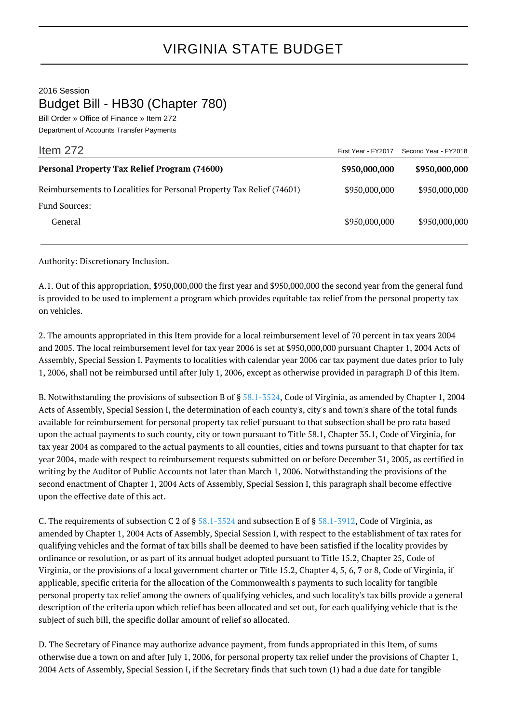## VIRGINIA STATE BUDGET

2016 Session

Budget Bill - HB30 (Chapter 780)

Bill Order » Office of Finance » Item 272 Department of Accounts Transfer Payments

| Item $272$                                                            | First Year - FY2017 | Second Year - FY2018 |
|-----------------------------------------------------------------------|---------------------|----------------------|
| <b>Personal Property Tax Relief Program (74600)</b>                   | \$950,000,000       | \$950,000,000        |
| Reimbursements to Localities for Personal Property Tax Relief (74601) | \$950,000,000       | \$950,000,000        |
| <b>Fund Sources:</b>                                                  |                     |                      |
| General                                                               | \$950,000,000       | \$950,000,000        |

Authority: Discretionary Inclusion.

A.1. Out of this appropriation, \$950,000,000 the first year and \$950,000,000 the second year from the general fund is provided to be used to implement a program which provides equitable tax relief from the personal property tax on vehicles.

2. The amounts appropriated in this Item provide for a local reimbursement level of 70 percent in tax years 2004 and 2005. The local reimbursement level for tax year 2006 is set at \$950,000,000 pursuant Chapter 1, 2004 Acts of Assembly, Special Session I. Payments to localities with calendar year 2006 car tax payment due dates prior to July 1, 2006, shall not be reimbursed until after July 1, 2006, except as otherwise provided in paragraph D of this Item.

B. Notwithstanding the provisions of subsection B of § [58.1-3524](http://law.lis.virginia.gov/vacode/58.1-3524/), Code of Virginia, as amended by Chapter 1, 2004 Acts of Assembly, Special Session I, the determination of each county's, city's and town's share of the total funds available for reimbursement for personal property tax relief pursuant to that subsection shall be pro rata based upon the actual payments to such county, city or town pursuant to Title 58.1, Chapter 35.1, Code of Virginia, for tax year 2004 as compared to the actual payments to all counties, cities and towns pursuant to that chapter for tax year 2004, made with respect to reimbursement requests submitted on or before December 31, 2005, as certified in writing by the Auditor of Public Accounts not later than March 1, 2006. Notwithstanding the provisions of the second enactment of Chapter 1, 2004 Acts of Assembly, Special Session I, this paragraph shall become effective upon the effective date of this act.

C. The requirements of subsection C 2 of § [58.1-3524](http://law.lis.virginia.gov/vacode/58.1-3524/) and subsection E of § [58.1-3912,](http://law.lis.virginia.gov/vacode/58.1-3912/) Code of Virginia, as amended by Chapter 1, 2004 Acts of Assembly, Special Session I, with respect to the establishment of tax rates for qualifying vehicles and the format of tax bills shall be deemed to have been satisfied if the locality provides by ordinance or resolution, or as part of its annual budget adopted pursuant to Title 15.2, Chapter 25, Code of Virginia, or the provisions of a local government charter or Title 15.2, Chapter 4, 5, 6, 7 or 8, Code of Virginia, if applicable, specific criteria for the allocation of the Commonwealth's payments to such locality for tangible personal property tax relief among the owners of qualifying vehicles, and such locality's tax bills provide a general description of the criteria upon which relief has been allocated and set out, for each qualifying vehicle that is the subject of such bill, the specific dollar amount of relief so allocated.

D. The Secretary of Finance may authorize advance payment, from funds appropriated in this Item, of sums otherwise due a town on and after July 1, 2006, for personal property tax relief under the provisions of Chapter 1, 2004 Acts of Assembly, Special Session I, if the Secretary finds that such town (1) had a due date for tangible